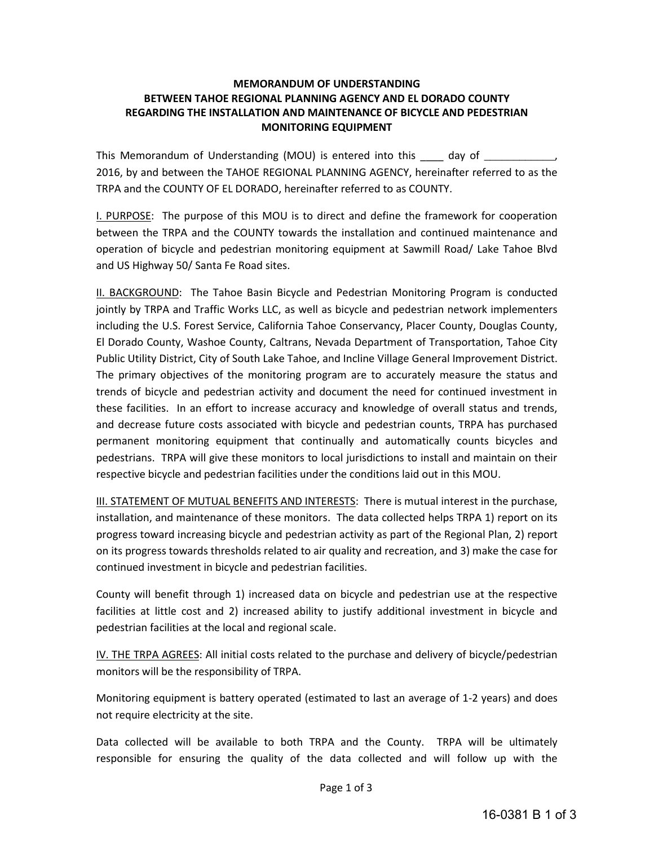## **MEMORANDUM OF UNDERSTANDING BETWEEN TAHOE REGIONAL PLANNING AGENCY AND EL DORADO COUNTY REGARDING THE INSTALLATION AND MAINTENANCE OF BICYCLE AND PEDESTRIAN MONITORING EQUIPMENT**

This Memorandum of Understanding (MOU) is entered into this \_\_\_\_\_ day of \_\_\_\_ 2016, by and between the TAHOE REGIONAL PLANNING AGENCY, hereinafter referred to as the TRPA and the COUNTY OF EL DORADO, hereinafter referred to as COUNTY.

I. PURPOSE: The purpose of this MOU is to direct and define the framework for cooperation between the TRPA and the COUNTY towards the installation and continued maintenance and operation of bicycle and pedestrian monitoring equipment at Sawmill Road/ Lake Tahoe Blvd and US Highway 50/ Santa Fe Road sites.

II. BACKGROUND: The Tahoe Basin Bicycle and Pedestrian Monitoring Program is conducted jointly by TRPA and Traffic Works LLC, as well as bicycle and pedestrian network implementers including the U.S. Forest Service, California Tahoe Conservancy, Placer County, Douglas County, El Dorado County, Washoe County, Caltrans, Nevada Department of Transportation, Tahoe City Public Utility District, City of South Lake Tahoe, and Incline Village General Improvement District. The primary objectives of the monitoring program are to accurately measure the status and trends of bicycle and pedestrian activity and document the need for continued investment in these facilities. In an effort to increase accuracy and knowledge of overall status and trends, and decrease future costs associated with bicycle and pedestrian counts, TRPA has purchased permanent monitoring equipment that continually and automatically counts bicycles and pedestrians. TRPA will give these monitors to local jurisdictions to install and maintain on their respective bicycle and pedestrian facilities under the conditions laid out in this MOU.

III. STATEMENT OF MUTUAL BENEFITS AND INTERESTS: There is mutual interest in the purchase, installation, and maintenance of these monitors. The data collected helps TRPA 1) report on its progress toward increasing bicycle and pedestrian activity as part of the Regional Plan, 2) report on its progress towards thresholds related to air quality and recreation, and 3) make the case for continued investment in bicycle and pedestrian facilities.

County will benefit through 1) increased data on bicycle and pedestrian use at the respective facilities at little cost and 2) increased ability to justify additional investment in bicycle and pedestrian facilities at the local and regional scale.

IV. THE TRPA AGREES: All initial costs related to the purchase and delivery of bicycle/pedestrian monitors will be the responsibility of TRPA.

Monitoring equipment is battery operated (estimated to last an average of 1-2 years) and does not require electricity at the site.

Data collected will be available to both TRPA and the County. TRPA will be ultimately responsible for ensuring the quality of the data collected and will follow up with the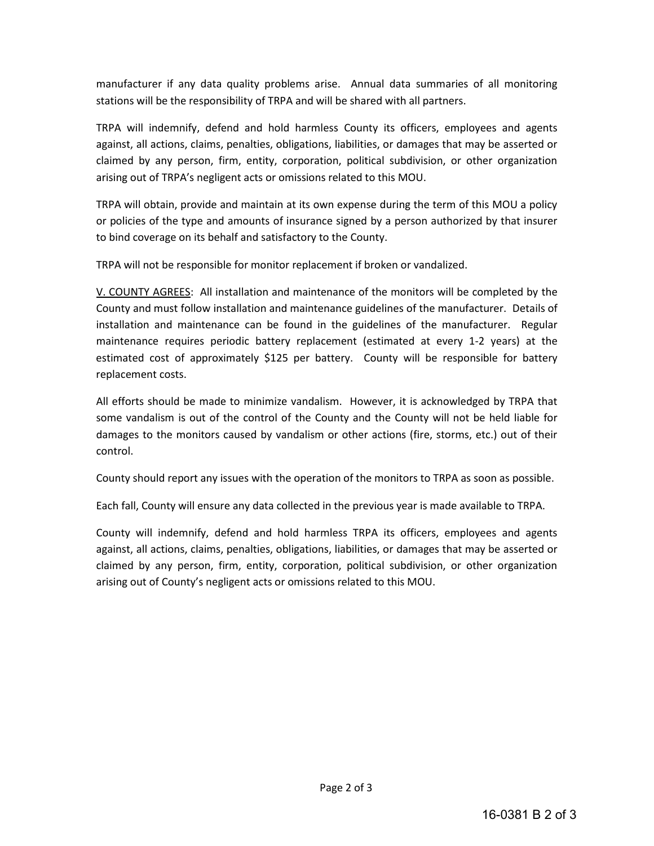manufacturer if any data quality problems arise. Annual data summaries of all monitoring stations will be the responsibility of TRPA and will be shared with all partners.

TRPA will indemnify, defend and hold harmless County its officers, employees and agents against, all actions, claims, penalties, obligations, liabilities, or damages that may be asserted or claimed by any person, firm, entity, corporation, political subdivision, or other organization arising out of TRPA's negligent acts or omissions related to this MOU.

TRPA will obtain, provide and maintain at its own expense during the term of this MOU a policy or policies of the type and amounts of insurance signed by a person authorized by that insurer to bind coverage on its behalf and satisfactory to the County.

TRPA will not be responsible for monitor replacement if broken or vandalized.

V. COUNTY AGREES: All installation and maintenance of the monitors will be completed by the County and must follow installation and maintenance guidelines of the manufacturer. Details of installation and maintenance can be found in the guidelines of the manufacturer. Regular maintenance requires periodic battery replacement (estimated at every 1-2 years) at the estimated cost of approximately \$125 per battery. County will be responsible for battery replacement costs.

All efforts should be made to minimize vandalism. However, it is acknowledged by TRPA that some vandalism is out of the control of the County and the County will not be held liable for damages to the monitors caused by vandalism or other actions (fire, storms, etc.) out of their control.

County should report any issues with the operation of the monitors to TRPA as soon as possible.

Each fall, County will ensure any data collected in the previous year is made available to TRPA.

County will indemnify, defend and hold harmless TRPA its officers, employees and agents against, all actions, claims, penalties, obligations, liabilities, or damages that may be asserted or claimed by any person, firm, entity, corporation, political subdivision, or other organization arising out of County's negligent acts or omissions related to this MOU.